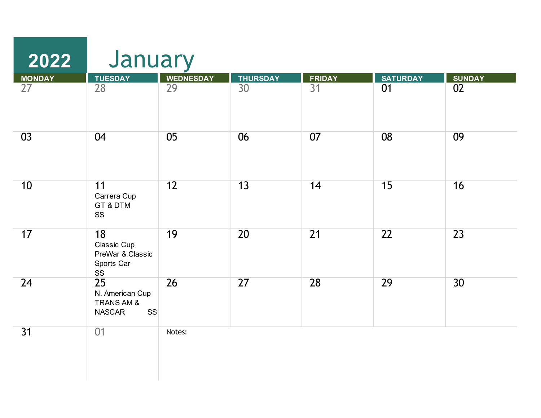| 2022            | January                                                                        |                  |                 |                 |                 |                 |
|-----------------|--------------------------------------------------------------------------------|------------------|-----------------|-----------------|-----------------|-----------------|
| <b>MONDAY</b>   | <b>TUESDAY</b>                                                                 | <b>WEDNESDAY</b> | <b>THURSDAY</b> | <b>FRIDAY</b>   | <b>SATURDAY</b> | <b>SUNDAY</b>   |
| $\overline{27}$ | $\overline{28}$                                                                | $\overline{29}$  | $\overline{30}$ | $\overline{31}$ | 01              | 02              |
| 03              | 04                                                                             | 05               | 06              | 07              | 08              | 09              |
| 10              | 11<br>Carrera Cup<br>GT & DTM<br>SS                                            | 12               | 13              | 14              | 15              | 16              |
| 17              | 18<br>Classic Cup<br>PreWar & Classic<br>Sports Car<br>SS                      | 19               | 20              | $\overline{21}$ | 22              | 23              |
| 24              | $\overline{25}$<br>N. American Cup<br>TRANS AM &<br><b>NASCAR</b><br><b>SS</b> | 26               | 27              | 28              | 29              | 30 <sup>2</sup> |
| 31              | 01                                                                             | Notes:           |                 |                 |                 |                 |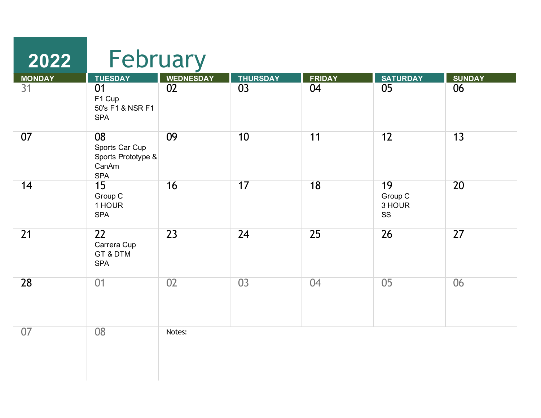| 2022                | February                                                          |                        |                       |                     |                               |                     |
|---------------------|-------------------------------------------------------------------|------------------------|-----------------------|---------------------|-------------------------------|---------------------|
| <b>MONDAY</b><br>31 | <b>TUESDAY</b><br>01<br>F1 Cup<br>50's F1 & NSR F1<br><b>SPA</b>  | <b>WEDNESDAY</b><br>02 | <b>THURSDAY</b><br>03 | <b>FRIDAY</b><br>04 | <b>SATURDAY</b><br>05         | <b>SUNDAY</b><br>06 |
| 07                  | 08<br>Sports Car Cup<br>Sports Prototype &<br>CanAm<br><b>SPA</b> | 09                     | 10                    | 11                  | 12                            | 13                  |
| 14                  | 15<br>Group C<br>1 HOUR<br><b>SPA</b>                             | 16                     | 17                    | 18                  | 19<br>Group C<br>3 HOUR<br>SS | 20                  |
| 21                  | 22<br>Carrera Cup<br>GT & DTM<br><b>SPA</b>                       | 23                     | 24                    | 25                  | 26                            | 27                  |
| 28                  | 01                                                                | 02                     | 03                    | 04                  | 05                            | 06                  |
| 07                  | 08                                                                | Notes:                 |                       |                     |                               |                     |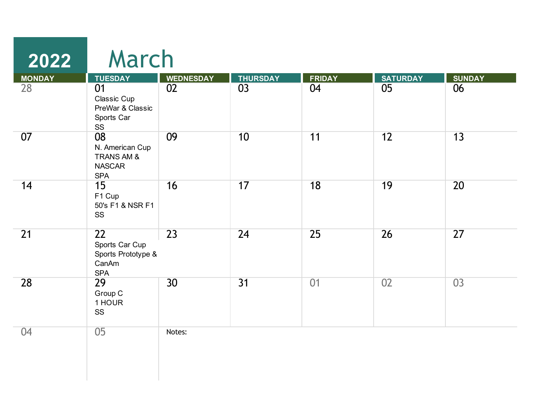| 2022          | March                                                              |                  |                 |               |                 |               |
|---------------|--------------------------------------------------------------------|------------------|-----------------|---------------|-----------------|---------------|
| <b>MONDAY</b> | <b>TUESDAY</b>                                                     | <b>WEDNESDAY</b> | <b>THURSDAY</b> | <b>FRIDAY</b> | <b>SATURDAY</b> | <b>SUNDAY</b> |
| 28            | 01<br>Classic Cup<br>PreWar & Classic<br>Sports Car<br>SS          | 02               | 03              | 04            | 05              | 06            |
| 07            | 08<br>N. American Cup<br>TRANS AM &<br><b>NASCAR</b><br><b>SPA</b> | 09               | 10              | 11            | 12              | 13            |
| 14            | 15<br>F1 Cup<br>50's F1 & NSR F1<br>SS                             | 16               | 17              | 18            | 19              | 20            |
| 21            | 22<br>Sports Car Cup<br>Sports Prototype &<br>CanAm<br><b>SPA</b>  | 23               | 24              | 25            | 26              | 27            |
| 28            | 29<br>Group C<br>1 HOUR<br>SS                                      | 30 <sup>2</sup>  | $\overline{31}$ | 01            | 02              | 03            |
| 04            | 05                                                                 | Notes:           |                 |               |                 |               |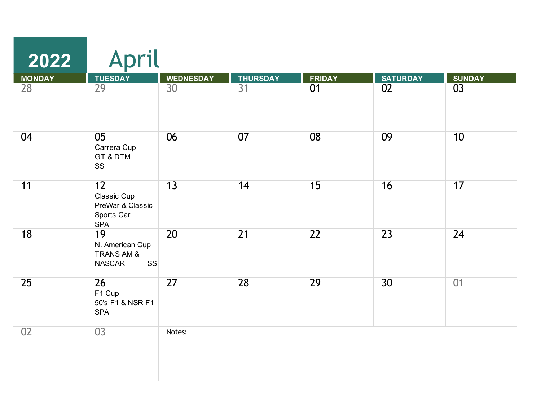| 2022          | April                                                                        |                  |                 |                 |                 |               |
|---------------|------------------------------------------------------------------------------|------------------|-----------------|-----------------|-----------------|---------------|
| <b>MONDAY</b> | <b>TUESDAY</b>                                                               | <b>WEDNESDAY</b> | <b>THURSDAY</b> | <b>FRIDAY</b>   | <b>SATURDAY</b> | <b>SUNDAY</b> |
| 28            | 29                                                                           | 30               | $\overline{31}$ | 01              | 02              | 03            |
| 04            | 05<br>Carrera Cup<br>GT & DTM<br>SS                                          | 06               | 07              | 08              | 09              | 10            |
| 11            | 12<br>Classic Cup<br>PreWar & Classic<br>Sports Car<br><b>SPA</b>            | 13               | 14              | 15              | 16              | 17            |
| 18            | 19<br>N. American Cup<br><b>TRANS AM &amp;</b><br><b>NASCAR</b><br><b>SS</b> | 20               | $\overline{21}$ | $\overline{22}$ | $\overline{23}$ | 24            |
| 25            | 26<br>F1 Cup<br>50's F1 & NSR F1<br><b>SPA</b>                               | $\overline{27}$  | 28              | 29              | 30              | 01            |
| 02            | 03                                                                           | Notes:           |                 |                 |                 |               |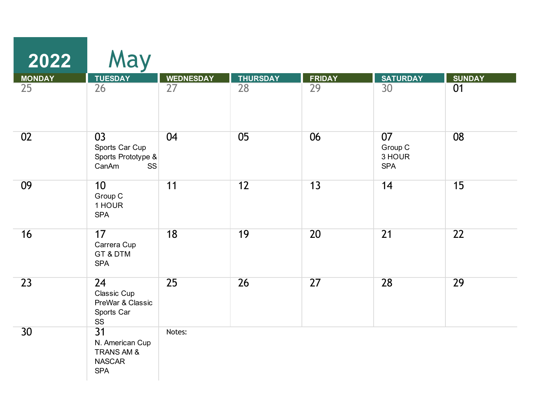| 2022            | May                                                                             |                  |                 |               |                                       |               |
|-----------------|---------------------------------------------------------------------------------|------------------|-----------------|---------------|---------------------------------------|---------------|
| <b>MONDAY</b>   | <b>TUESDAY</b>                                                                  | <b>WEDNESDAY</b> | <b>THURSDAY</b> | <b>FRIDAY</b> | <b>SATURDAY</b>                       | <b>SUNDAY</b> |
| 25              | 26                                                                              | 27               | 28              | 29            | 30                                    | 01            |
| 02              | 03<br>Sports Car Cup<br>Sports Prototype &<br>CanAm<br><b>SS</b>                | 04               | 05              | 06            | 07<br>Group C<br>3 HOUR<br><b>SPA</b> | 08            |
| 09              | 10<br>Group C<br>1 HOUR<br><b>SPA</b>                                           | 11               | 12              | 13            | 14                                    | 15            |
| 16              | 17<br>Carrera Cup<br>GT & DTM<br><b>SPA</b>                                     | 18               | 19              | 20            | $\overline{21}$                       | 22            |
| 23              | 24<br>Classic Cup<br>PreWar & Classic<br>Sports Car<br>SS                       | 25               | 26              | 27            | 28                                    | 29            |
| 30 <sup>2</sup> | $\overline{31}$<br>N. American Cup<br>TRANS AM &<br><b>NASCAR</b><br><b>SPA</b> | Notes:           |                 |               |                                       |               |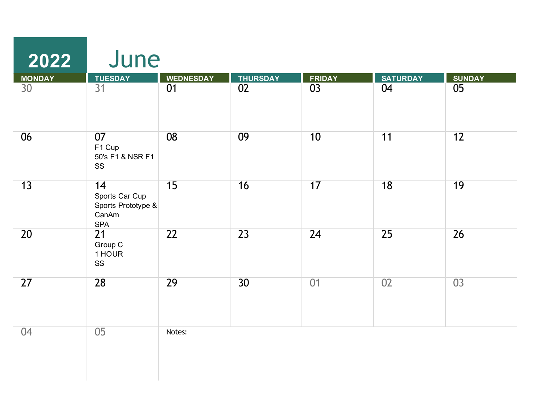| 2022                             | June                                                              |                        |                       |                                  |                       |                     |
|----------------------------------|-------------------------------------------------------------------|------------------------|-----------------------|----------------------------------|-----------------------|---------------------|
| <b>MONDAY</b><br>30 <sup>°</sup> | <b>TUESDAY</b><br>31                                              | <b>WEDNESDAY</b><br>01 | <b>THURSDAY</b><br>02 | <b>FRIDAY</b><br>$\overline{03}$ | <b>SATURDAY</b><br>04 | <b>SUNDAY</b><br>05 |
|                                  |                                                                   |                        |                       |                                  |                       |                     |
| 06                               | 07<br>F1 Cup<br>50's F1 & NSR F1<br>SS                            | 08                     | 09                    | 10                               | 11                    | 12                  |
| 13                               | 14<br>Sports Car Cup<br>Sports Prototype &<br>CanAm<br><b>SPA</b> | 15                     | 16                    | 17                               | 18                    | 19                  |
| 20                               | $\overline{21}$<br>Group C<br>1 HOUR<br>SS                        | 22                     | 23                    | 24                               | 25                    | 26                  |
| 27                               | 28                                                                | 29                     | 30 <sup>2</sup>       | 01                               | 02                    | 03                  |
| 04                               | 05                                                                | Notes:                 |                       |                                  |                       |                     |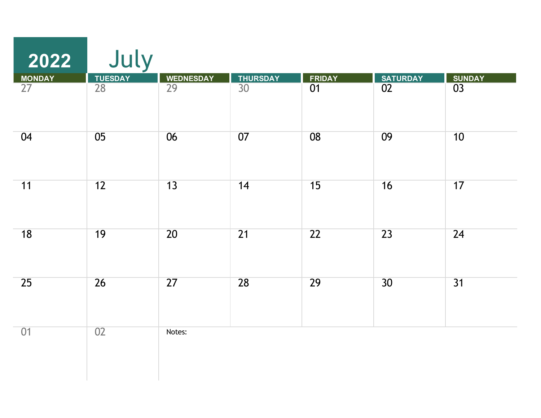| 2022            | July          |                  |                 |                 |                 |                 |
|-----------------|---------------|------------------|-----------------|-----------------|-----------------|-----------------|
| <b>MONDAY</b>   |               | <b>WEDNESDAY</b> | <b>THURSDAY</b> | <b>FRIDAY</b>   | <b>SATURDAY</b> | <b>SUNDAY</b>   |
| $\overline{27}$ | TUESDAY<br>28 | $\overline{29}$  | $\overline{30}$ | $\overline{01}$ | 02              | 03              |
| 04              | 05            | 06               | 07              | 08              | 09              | 10              |
| 11              | 12            | 13               | 14              | 15              | 16              | 17              |
| 18              | 19            | $\overline{20}$  | $\overline{21}$ | $\overline{22}$ | 23              | $\overline{24}$ |
| 25              | 26            | 27               | 28              | 29              | 30              | $\overline{31}$ |
| 01              | 02            | Notes:           |                 |                 |                 |                 |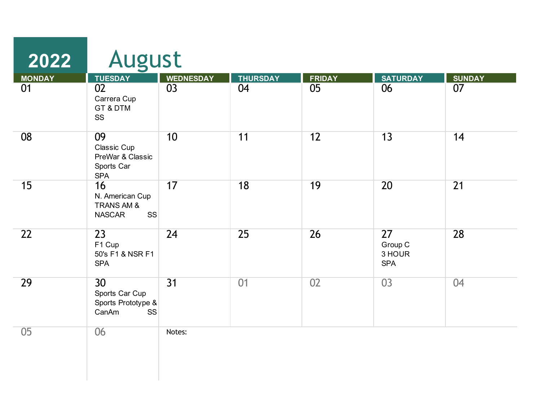| 2022          | August                                                                        |                  |                 |               |                                       |                 |
|---------------|-------------------------------------------------------------------------------|------------------|-----------------|---------------|---------------------------------------|-----------------|
| <b>MONDAY</b> | <b>TUESDAY</b>                                                                | <b>WEDNESDAY</b> | <b>THURSDAY</b> | <b>FRIDAY</b> | <b>SATURDAY</b>                       | <b>SUNDAY</b>   |
| 01            | 02<br>Carrera Cup<br>GT & DTM<br>SS                                           | 03               | 04              | 05            | 06                                    | 07              |
| 08            | 09<br>Classic Cup<br>PreWar & Classic<br>Sports Car<br><b>SPA</b>             | 10               | 11              | 12            | 13                                    | 14              |
| 15            | 16<br>N. American Cup<br>TRANS AM &<br><b>NASCAR</b><br><b>SS</b>             | 17               | 18              | 19            | 20                                    | $\overline{21}$ |
| 22            | $\overline{23}$<br>F1 Cup<br>50's F1 & NSR F1<br><b>SPA</b>                   | $\overline{24}$  | 25              | 26            | 27<br>Group C<br>3 HOUR<br><b>SPA</b> | 28              |
| 29            | 30 <sup>°</sup><br>Sports Car Cup<br>Sports Prototype &<br>CanAm<br><b>SS</b> | $\overline{31}$  | 01              | 02            | 03                                    | 04              |
| 05            | 06                                                                            | Notes:           |                 |               |                                       |                 |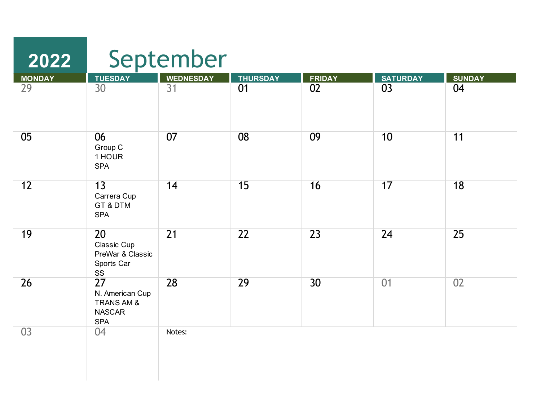| 2022          |                                                                               | September        |                 |               |                 |               |
|---------------|-------------------------------------------------------------------------------|------------------|-----------------|---------------|-----------------|---------------|
| <b>MONDAY</b> | <b>TUESDAY</b>                                                                | <b>WEDNESDAY</b> | <b>THURSDAY</b> | <b>FRIDAY</b> | <b>SATURDAY</b> | <b>SUNDAY</b> |
| 29            | 30                                                                            | 31               | 01              | 02            | 03              | 04            |
| 05            | 06<br>Group C<br>1 HOUR<br><b>SPA</b>                                         | 07               | 08              | 09            | 10              | 11            |
| 12            | 13<br>Carrera Cup<br>GT & DTM<br><b>SPA</b>                                   | 14               | 15              | 16            | 17              | 18            |
| 19            | 20<br>Classic Cup<br>PreWar & Classic<br>Sports Car<br>SS                     | $\overline{21}$  | 22              | 23            | 24              | 25            |
| 26            | 27<br>N. American Cup<br><b>TRANS AM &amp;</b><br><b>NASCAR</b><br><b>SPA</b> | 28               | 29              | 30            | 01              | 02            |
| 03            | 04                                                                            | Notes:           |                 |               |                 |               |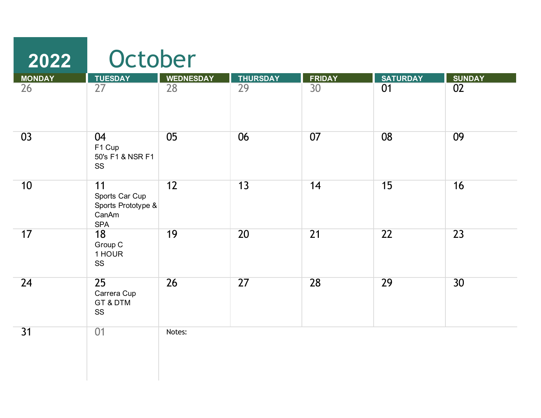| 2022            | October                                                           |                  |                 |                 |                 |                 |
|-----------------|-------------------------------------------------------------------|------------------|-----------------|-----------------|-----------------|-----------------|
| <b>MONDAY</b>   |                                                                   | <b>WEDNESDAY</b> | <b>THURSDAY</b> | <b>FRIDAY</b>   | <b>SATURDAY</b> | <b>SUNDAY</b>   |
| $\overline{26}$ | TUESDAY<br>27                                                     | $\overline{28}$  | $\overline{29}$ | $\overline{30}$ | 01              | $\overline{02}$ |
| 03              | 04<br>F1 Cup<br>50's F1 & NSR F1<br>SS                            | 05               | 06              | 07              | 08              | 09              |
| 10              | 11<br>Sports Car Cup<br>Sports Prototype &<br>CanAm<br><b>SPA</b> | $\overline{12}$  | 13              | 14              | 15              | 16              |
| 17              | 18<br>Group C<br>1 HOUR<br>SS                                     | 19               | 20              | $\overline{21}$ | 22              | $\overline{23}$ |
| 24              | 25<br>Carrera Cup<br>GT & DTM<br>SS                               | 26               | $\overline{27}$ | 28              | 29              | 30              |
| 31              | 01                                                                | Notes:           |                 |                 |                 |                 |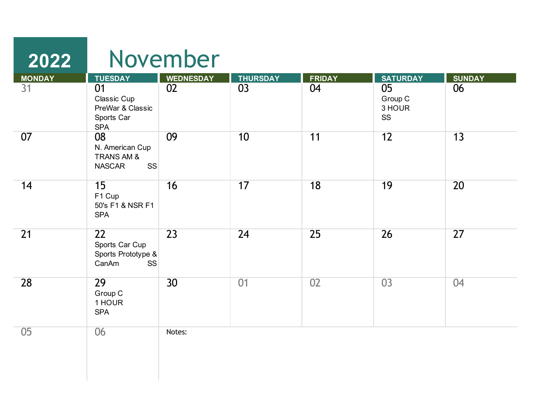| 2022          |                                                                              | November         |                 |                 |                               |               |
|---------------|------------------------------------------------------------------------------|------------------|-----------------|-----------------|-------------------------------|---------------|
| <b>MONDAY</b> | <b>TUESDAY</b>                                                               | <b>WEDNESDAY</b> | <b>THURSDAY</b> | <b>FRIDAY</b>   | <b>SATURDAY</b>               | <b>SUNDAY</b> |
| 31            | 01<br>Classic Cup<br>PreWar & Classic<br>Sports Car<br><b>SPA</b>            | 02               | 03              | 04              | 05<br>Group C<br>3 HOUR<br>SS | 06            |
| 07            | 08<br>N. American Cup<br><b>TRANS AM &amp;</b><br><b>SS</b><br><b>NASCAR</b> | 09               | 10              | 11              | 12                            | 13            |
| 14            | 15<br>F1 Cup<br>50's F1 & NSR F1<br><b>SPA</b>                               | 16               | 17              | $\overline{18}$ | 19                            | 20            |
| 21            | 22<br>Sports Car Cup<br>Sports Prototype &<br>CanAm<br><b>SS</b>             | $\overline{23}$  | 24              | 25              | 26                            | 27            |
| 28            | 29<br>Group C<br>1 HOUR<br><b>SPA</b>                                        | 30 <sup>2</sup>  | 01              | 02              | 03                            | 04            |
| 05            | 06                                                                           | Notes:           |                 |                 |                               |               |